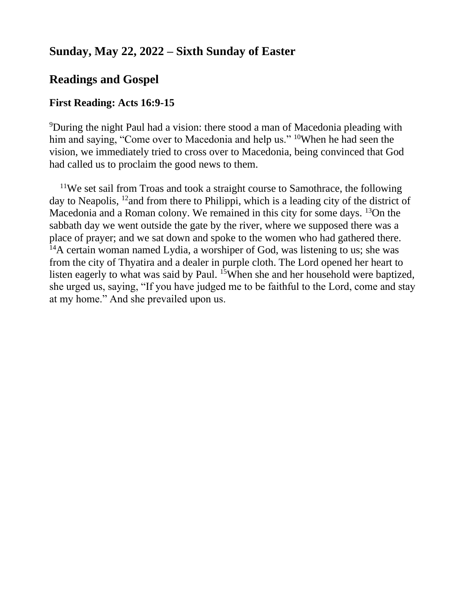# **Sunday, May 22, 2022 – Sixth Sunday of Easter**

# **Readings and Gospel**

#### **First Reading: Acts 16:9-15**

<sup>9</sup>During the night Paul had a vision: there stood a man of Macedonia pleading with him and saying, "Come over to Macedonia and help us." <sup>10</sup>When he had seen the vision, we immediately tried to cross over to Macedonia, being convinced that God had called us to proclaim the good news to them.

<sup>11</sup>We set sail from Troas and took a straight course to Samothrace, the following day to Neapolis, <sup>12</sup> and from there to Philippi, which is a leading city of the district of Macedonia and a Roman colony. We remained in this city for some days. <sup>13</sup>On the sabbath day we went outside the gate by the river, where we supposed there was a place of prayer; and we sat down and spoke to the women who had gathered there. <sup>14</sup>A certain woman named Lydia, a worshiper of God, was listening to us; she was from the city of Thyatira and a dealer in purple cloth. The Lord opened her heart to listen eagerly to what was said by Paul. <sup>15</sup>When she and her household were baptized, she urged us, saying, "If you have judged me to be faithful to the Lord, come and stay at my home." And she prevailed upon us.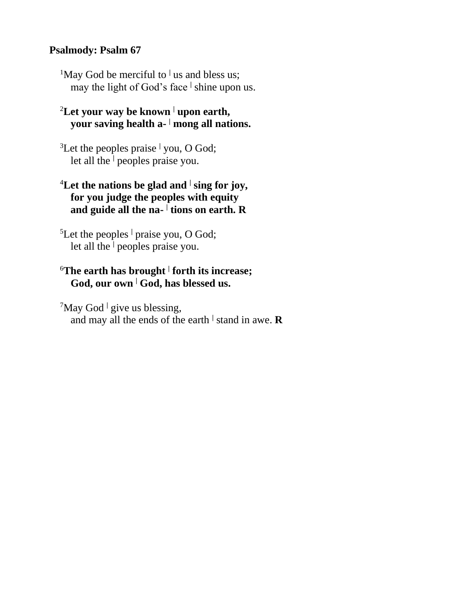#### **Psalmody: Psalm 67**

<sup>1</sup>May God be merciful to <sup> $\vert$ </sup> us and bless us; may the light of God's face **<sup>|</sup>** shine upon us.

### <sup>2</sup>**Let your way be known <sup>|</sup> upon earth, your saving health a- <sup>|</sup> mong all nations.**

<sup>3</sup>Let the peoples praise **<sup>|</sup>** you, O God; let all the **<sup>|</sup>** peoples praise you.

### <sup>4</sup>**Let the nations be glad and <sup>|</sup> sing for joy, for you judge the peoples with equity and guide all the na- | tions on earth. R**

<sup>5</sup>Let the peoples **<sup>|</sup>** praise you, O God; let all the **<sup>|</sup>** peoples praise you.

### <sup>6</sup>**The earth has brought <sup>|</sup> forth its increase; God, our own <sup>|</sup> God, has blessed us.**

<sup>7</sup>May God <sup>|</sup> give us blessing, and may all the ends of the earth **<sup>|</sup>** stand in awe. **R**